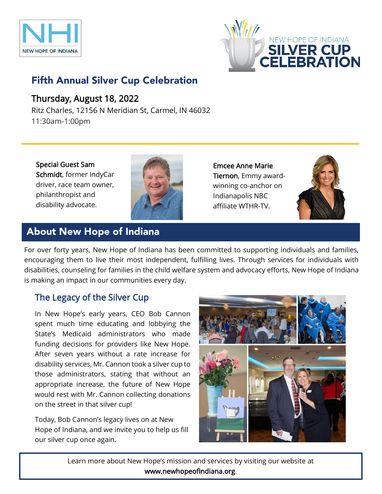



# Fifth Annual Silver Cup Celebration

### Thursday, August 18, 2022

Ritz Charles, 12156 N Meridian St, Carmel, IN 46032 11:30am-1:00pm

Special Guest Sam Schmidt, former IndyCar driver, race team owner, philanthropist and disability advocate.



Emcee Anne Marie Tiernon, Emmy awardwinning co-anchor on Indianapolis NBC affiliate WTHR-TV.



# About New Hope of Indiana

For over forty years, New Hope of Indiana has been committed to supporting individuals and families, encouraging them to live their most independent, fulfilling lives. Through services for individuals with disabilities, counseling for families in the child welfare system and advocacy efforts, New Hope of Indiana is making an impact in our communities every day.

### The Legacy of the Silver Cup

In New Hope's early years, CEO Bob Cannon spent much time educating and lobbying the State's Medicaid administrators who made funding decisions for providers like New Hope. After seven years without a rate increase for disability services, Mr. Cannon took a silver cup to those administrators, stating that without an appropriate increase, the future of New Hope would rest with Mr. Cannon collecting donations on the street in that silver cup!

Today, Bob Cannon's legacy lives on at New Hope of Indiana, and we invite you to help us fill our silver cup once again.



Learn more about New Hope's mission and services by visiting our website at www.newhopeofindiana.org.